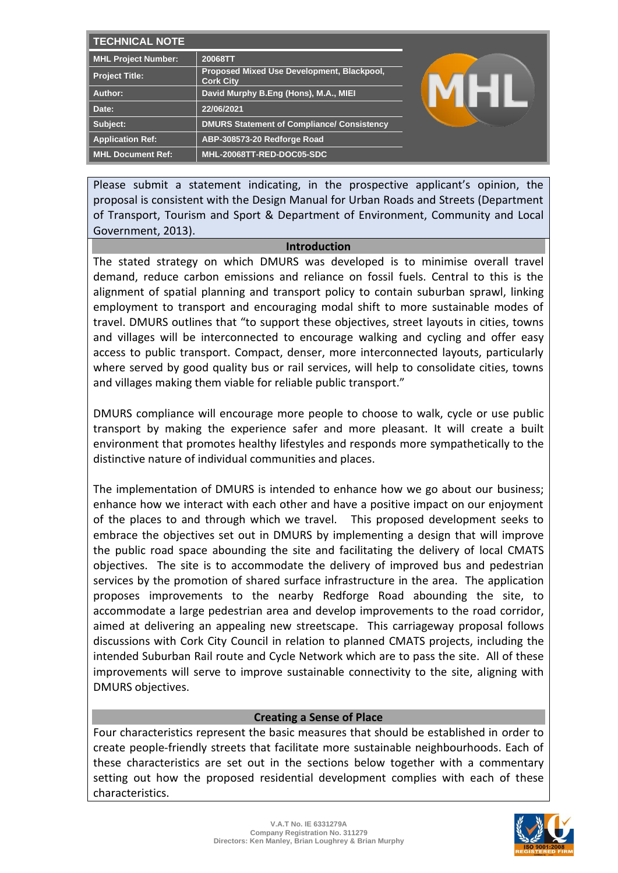| <b>TECHNICAL NOTE</b>      |                                                                |  |
|----------------------------|----------------------------------------------------------------|--|
| <b>MHL Project Number:</b> | 20068TT                                                        |  |
| Project Title:             | Proposed Mixed Use Development, Blackpool,<br><b>Cork City</b> |  |
| Author:                    | David Murphy B.Eng (Hons), M.A., MIEI                          |  |
| Date:                      | 22/06/2021                                                     |  |
| Subject:                   | <b>DMURS Statement of Compliance/ Consistency</b>              |  |
| <b>Application Ref:</b>    | ABP-308573-20 Redforge Road                                    |  |
| <b>MHL Document Ref:</b>   | MHL-20068TT-RED-DOC05-SDC                                      |  |

Please submit a statement indicating, in the prospective applicant's opinion, the proposal is consistent with the Design Manual for Urban Roads and Streets (Department of Transport, Tourism and Sport & Department of Environment, Community and Local Government, 2013).

#### **Introduction**

The stated strategy on which DMURS was developed is to minimise overall travel demand, reduce carbon emissions and reliance on fossil fuels. Central to this is the alignment of spatial planning and transport policy to contain suburban sprawl, linking employment to transport and encouraging modal shift to more sustainable modes of travel. DMURS outlines that "to support these objectives, street layouts in cities, towns and villages will be interconnected to encourage walking and cycling and offer easy access to public transport. Compact, denser, more interconnected layouts, particularly where served by good quality bus or rail services, will help to consolidate cities, towns and villages making them viable for reliable public transport."

DMURS compliance will encourage more people to choose to walk, cycle or use public transport by making the experience safer and more pleasant. It will create a built environment that promotes healthy lifestyles and responds more sympathetically to the distinctive nature of individual communities and places.

The implementation of DMURS is intended to enhance how we go about our business; enhance how we interact with each other and have a positive impact on our enjoyment of the places to and through which we travel. This proposed development seeks to embrace the objectives set out in DMURS by implementing a design that will improve the public road space abounding the site and facilitating the delivery of local CMATS objectives. The site is to accommodate the delivery of improved bus and pedestrian services by the promotion of shared surface infrastructure in the area. The application proposes improvements to the nearby Redforge Road abounding the site, to accommodate a large pedestrian area and develop improvements to the road corridor, aimed at delivering an appealing new streetscape. This carriageway proposal follows discussions with Cork City Council in relation to planned CMATS projects, including the intended Suburban Rail route and Cycle Network which are to pass the site. All of these improvements will serve to improve sustainable connectivity to the site, aligning with DMURS objectives.

# **Creating a Sense of Place**

Four characteristics represent the basic measures that should be established in order to create people-friendly streets that facilitate more sustainable neighbourhoods. Each of these characteristics are set out in the sections below together with a commentary setting out how the proposed residential development complies with each of these characteristics.

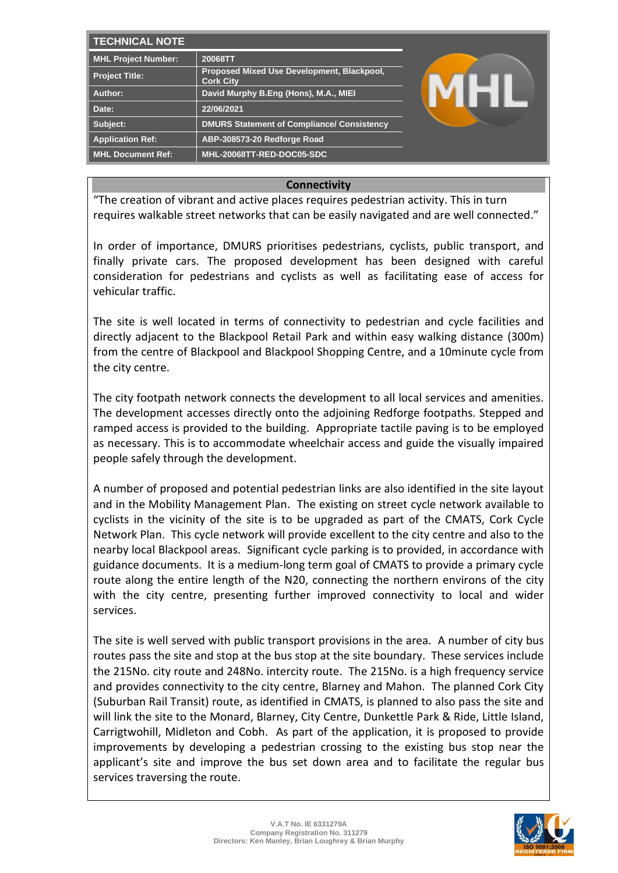| <b>TECHNICAL NOTE</b>      |                                                                |  |
|----------------------------|----------------------------------------------------------------|--|
| <b>MHL Project Number:</b> | 20068TT                                                        |  |
| <b>Project Title:</b>      | Proposed Mixed Use Development, Blackpool,<br><b>Cork City</b> |  |
| Author:                    | David Murphy B.Eng (Hons), M.A., MIEI                          |  |
| Date:                      | 22/06/2021                                                     |  |
| Subject:                   | <b>DMURS Statement of Compliance/ Consistency</b>              |  |
| <b>Application Ref:</b>    | ABP-308573-20 Redforge Road                                    |  |
| <b>MHL Document Ref:</b>   | MHL-20068TT-RED-DOC05-SDC                                      |  |

# **Connectivity**

"The creation of vibrant and active places requires pedestrian activity. This in turn requires walkable street networks that can be easily navigated and are well connected."

In order of importance, DMURS prioritises pedestrians, cyclists, public transport, and finally private cars. The proposed development has been designed with careful consideration for pedestrians and cyclists as well as facilitating ease of access for vehicular traffic.

The site is well located in terms of connectivity to pedestrian and cycle facilities and directly adjacent to the Blackpool Retail Park and within easy walking distance (300m) from the centre of Blackpool and Blackpool Shopping Centre, and a 10minute cycle from the city centre.

The city footpath network connects the development to all local services and amenities. The development accesses directly onto the adjoining Redforge footpaths. Stepped and ramped access is provided to the building. Appropriate tactile paving is to be employed as necessary. This is to accommodate wheelchair access and guide the visually impaired people safely through the development.

A number of proposed and potential pedestrian links are also identified in the site layout and in the Mobility Management Plan. The existing on street cycle network available to cyclists in the vicinity of the site is to be upgraded as part of the CMATS, Cork Cycle Network Plan. This cycle network will provide excellent to the city centre and also to the nearby local Blackpool areas. Significant cycle parking is to provided, in accordance with guidance documents. It is a medium-long term goal of CMATS to provide a primary cycle route along the entire length of the N20, connecting the northern environs of the city with the city centre, presenting further improved connectivity to local and wider services.

The site is well served with public transport provisions in the area. A number of city bus routes pass the site and stop at the bus stop at the site boundary. These services include the 215No. city route and 248No. intercity route. The 215No. is a high frequency service and provides connectivity to the city centre, Blarney and Mahon. The planned Cork City (Suburban Rail Transit) route, as identified in CMATS, is planned to also pass the site and will link the site to the Monard, Blarney, City Centre, Dunkettle Park & Ride, Little Island, Carrigtwohill, Midleton and Cobh. As part of the application, it is proposed to provide improvements by developing a pedestrian crossing to the existing bus stop near the applicant's site and improve the bus set down area and to facilitate the regular bus services traversing the route.

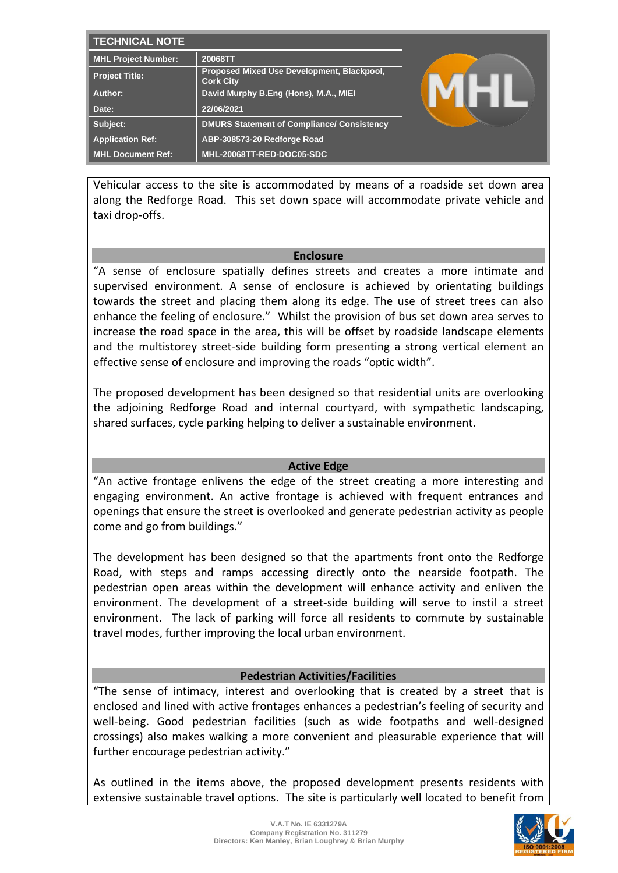| <b>TECHNICAL NOTE</b>      |                                                                |  |
|----------------------------|----------------------------------------------------------------|--|
| <b>MHL Project Number:</b> | 20068TT                                                        |  |
| <b>Project Title:</b>      | Proposed Mixed Use Development, Blackpool,<br><b>Cork City</b> |  |
| Author:                    | David Murphy B.Eng (Hons), M.A., MIEI                          |  |
| Date:                      | 22/06/2021                                                     |  |
| Subject:                   | <b>DMURS Statement of Compliance/ Consistency</b>              |  |
| <b>Application Ref:</b>    | ABP-308573-20 Redforge Road                                    |  |
| MHL Document Ref:          | MHL-20068TT-RED-DOC05-SDC                                      |  |

Vehicular access to the site is accommodated by means of a roadside set down area along the Redforge Road. This set down space will accommodate private vehicle and taxi drop-offs.

### **Enclosure**

"A sense of enclosure spatially defines streets and creates a more intimate and supervised environment. A sense of enclosure is achieved by orientating buildings towards the street and placing them along its edge. The use of street trees can also enhance the feeling of enclosure." Whilst the provision of bus set down area serves to increase the road space in the area, this will be offset by roadside landscape elements and the multistorey street-side building form presenting a strong vertical element an effective sense of enclosure and improving the roads "optic width".

The proposed development has been designed so that residential units are overlooking the adjoining Redforge Road and internal courtyard, with sympathetic landscaping, shared surfaces, cycle parking helping to deliver a sustainable environment.

## **Active Edge**

"An active frontage enlivens the edge of the street creating a more interesting and engaging environment. An active frontage is achieved with frequent entrances and openings that ensure the street is overlooked and generate pedestrian activity as people come and go from buildings."

The development has been designed so that the apartments front onto the Redforge Road, with steps and ramps accessing directly onto the nearside footpath. The pedestrian open areas within the development will enhance activity and enliven the environment. The development of a street-side building will serve to instil a street environment. The lack of parking will force all residents to commute by sustainable travel modes, further improving the local urban environment.

## **Pedestrian Activities/Facilities**

"The sense of intimacy, interest and overlooking that is created by a street that is enclosed and lined with active frontages enhances a pedestrian's feeling of security and well-being. Good pedestrian facilities (such as wide footpaths and well-designed crossings) also makes walking a more convenient and pleasurable experience that will further encourage pedestrian activity."

As outlined in the items above, the proposed development presents residents with extensive sustainable travel options. The site is particularly well located to benefit from

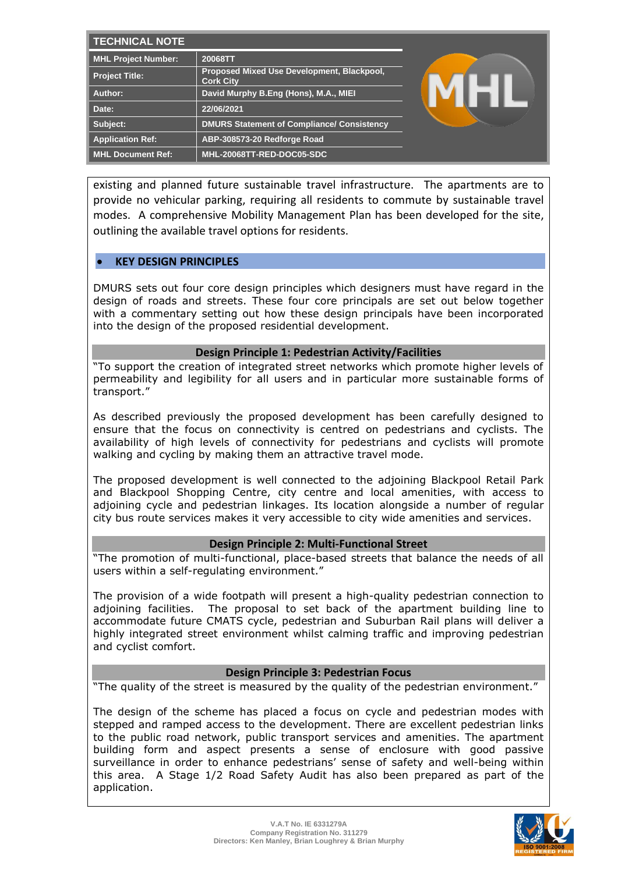| <b>TECHNICAL NOTE</b>      |                                                                |  |
|----------------------------|----------------------------------------------------------------|--|
| <b>MHL Project Number:</b> | 20068TT                                                        |  |
| <b>Project Title:</b>      | Proposed Mixed Use Development, Blackpool,<br><b>Cork City</b> |  |
| Author:                    | David Murphy B.Eng (Hons), M.A., MIEI                          |  |
| Date:                      | 22/06/2021                                                     |  |
| Subject:                   | <b>DMURS Statement of Compliance/ Consistency</b>              |  |
| <b>Application Ref:</b>    | ABP-308573-20 Redforge Road                                    |  |
| <b>MHL Document Ref:</b>   | MHL-20068TT-RED-DOC05-SDC                                      |  |

existing and planned future sustainable travel infrastructure. The apartments are to provide no vehicular parking, requiring all residents to commute by sustainable travel modes. A comprehensive Mobility Management Plan has been developed for the site, outlining the available travel options for residents.

### • **KEY DESIGN PRINCIPLES**

DMURS sets out four core design principles which designers must have regard in the design of roads and streets. These four core principals are set out below together with a commentary setting out how these design principals have been incorporated into the design of the proposed residential development.

### **Design Principle 1: Pedestrian Activity/Facilities**

"To support the creation of integrated street networks which promote higher levels of permeability and legibility for all users and in particular more sustainable forms of transport."

As described previously the proposed development has been carefully designed to ensure that the focus on connectivity is centred on pedestrians and cyclists. The availability of high levels of connectivity for pedestrians and cyclists will promote walking and cycling by making them an attractive travel mode.

The proposed development is well connected to the adjoining Blackpool Retail Park and Blackpool Shopping Centre, city centre and local amenities, with access to adjoining cycle and pedestrian linkages. Its location alongside a number of regular city bus route services makes it very accessible to city wide amenities and services.

#### **Design Principle 2: Multi-Functional Street**

"The promotion of multi-functional, place-based streets that balance the needs of all users within a self-regulating environment."

The provision of a wide footpath will present a high-quality pedestrian connection to adjoining facilities. The proposal to set back of the apartment building line to accommodate future CMATS cycle, pedestrian and Suburban Rail plans will deliver a highly integrated street environment whilst calming traffic and improving pedestrian and cyclist comfort.

### **Design Principle 3: Pedestrian Focus**

"The quality of the street is measured by the quality of the pedestrian environment."

The design of the scheme has placed a focus on cycle and pedestrian modes with stepped and ramped access to the development. There are excellent pedestrian links to the public road network, public transport services and amenities. The apartment building form and aspect presents a sense of enclosure with good passive surveillance in order to enhance pedestrians' sense of safety and well-being within this area. A Stage 1/2 Road Safety Audit has also been prepared as part of the application.